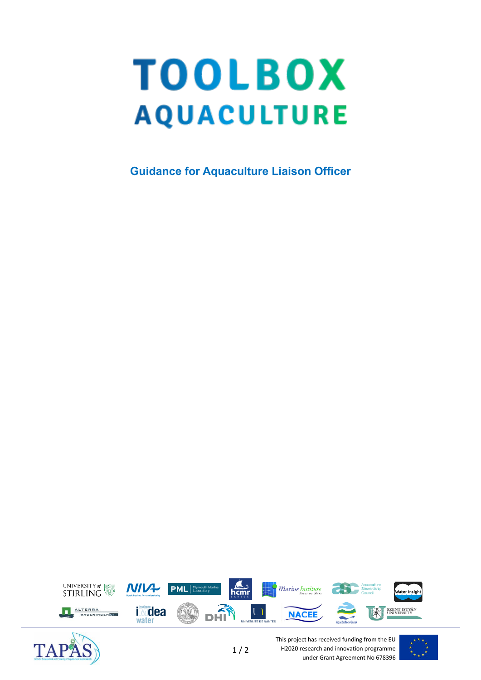## **TOOLBOX AQUACULTURE**

**Guidance for Aquaculture Liaison Officer**





This project has received funding from the EU H2020 research and innovation programme under Grant Agreement No 678396